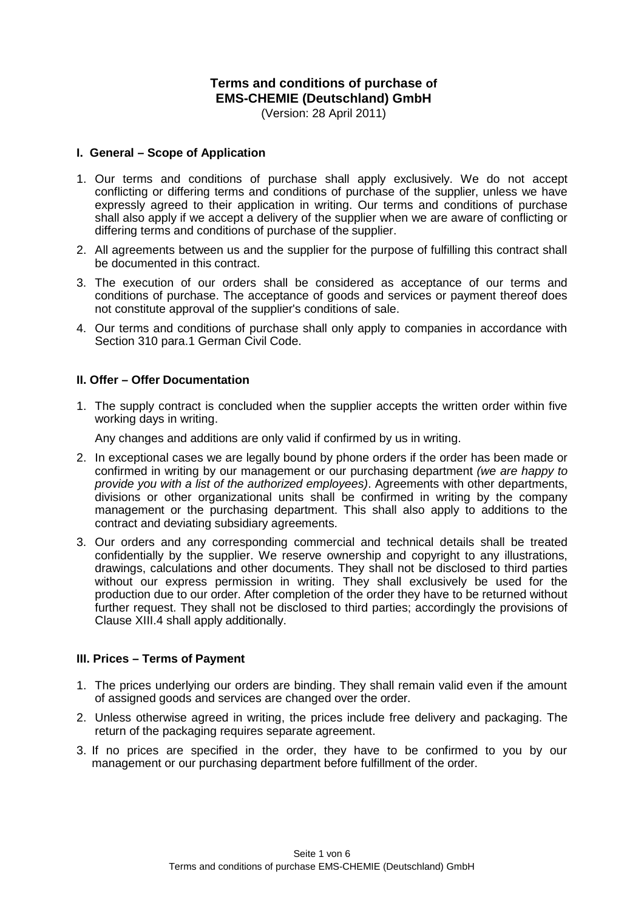# **Terms and conditions of purchase of EMS-CHEMIE (Deutschland) GmbH**

(Version: 28 April 2011)

#### **I. General – Scope of Application**

- 1. Our terms and conditions of purchase shall apply exclusively. We do not accept conflicting or differing terms and conditions of purchase of the supplier, unless we have expressly agreed to their application in writing. Our terms and conditions of purchase shall also apply if we accept a delivery of the supplier when we are aware of conflicting or differing terms and conditions of purchase of the supplier.
- 2. All agreements between us and the supplier for the purpose of fulfilling this contract shall be documented in this contract.
- 3. The execution of our orders shall be considered as acceptance of our terms and conditions of purchase. The acceptance of goods and services or payment thereof does not constitute approval of the supplier's conditions of sale.
- 4. Our terms and conditions of purchase shall only apply to companies in accordance with Section 310 para.1 German Civil Code.

#### **II. Offer – Offer Documentation**

1. The supply contract is concluded when the supplier accepts the written order within five working days in writing.

Any changes and additions are only valid if confirmed by us in writing.

- 2. In exceptional cases we are legally bound by phone orders if the order has been made or confirmed in writing by our management or our purchasing department *(we are happy to provide you with a list of the authorized employees)*. Agreements with other departments, divisions or other organizational units shall be confirmed in writing by the company management or the purchasing department. This shall also apply to additions to the contract and deviating subsidiary agreements.
- 3. Our orders and any corresponding commercial and technical details shall be treated confidentially by the supplier. We reserve ownership and copyright to any illustrations, drawings, calculations and other documents. They shall not be disclosed to third parties without our express permission in writing. They shall exclusively be used for the production due to our order. After completion of the order they have to be returned without further request. They shall not be disclosed to third parties; accordingly the provisions of Clause XIII.4 shall apply additionally.

## **III. Prices – Terms of Payment**

- 1. The prices underlying our orders are binding. They shall remain valid even if the amount of assigned goods and services are changed over the order.
- 2. Unless otherwise agreed in writing, the prices include free delivery and packaging. The return of the packaging requires separate agreement.
- 3. If no prices are specified in the order, they have to be confirmed to you by our management or our purchasing department before fulfillment of the order.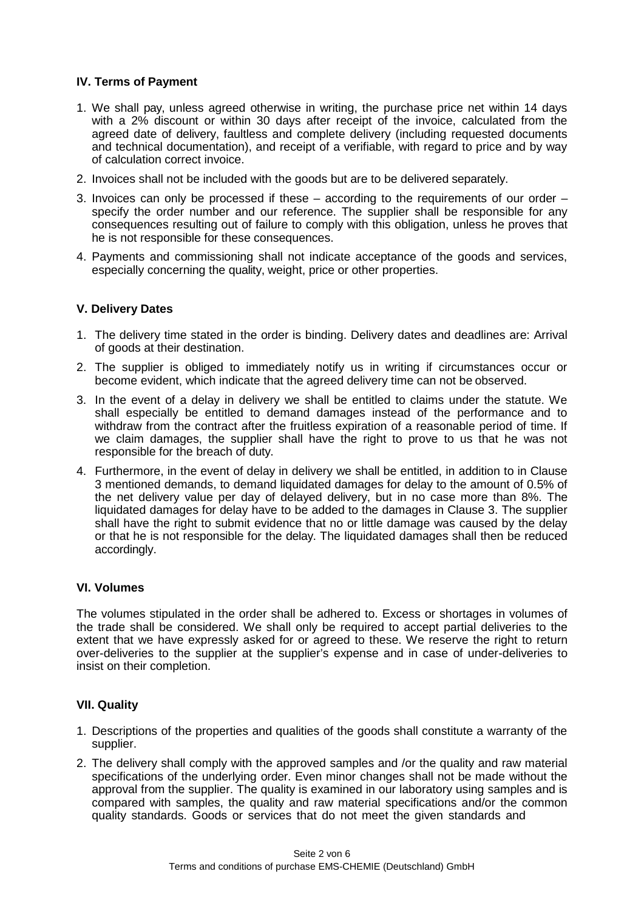## **IV. Terms of Payment**

- 1. We shall pay, unless agreed otherwise in writing, the purchase price net within 14 days with a 2% discount or within 30 days after receipt of the invoice, calculated from the agreed date of delivery, faultless and complete delivery (including requested documents and technical documentation), and receipt of a verifiable, with regard to price and by way of calculation correct invoice.
- 2. Invoices shall not be included with the goods but are to be delivered separately.
- 3. Invoices can only be processed if these  $-$  according to the requirements of our order  $$ specify the order number and our reference. The supplier shall be responsible for any consequences resulting out of failure to comply with this obligation, unless he proves that he is not responsible for these consequences.
- 4. Payments and commissioning shall not indicate acceptance of the goods and services, especially concerning the quality, weight, price or other properties.

#### **V. Delivery Dates**

- 1. The delivery time stated in the order is binding. Delivery dates and deadlines are: Arrival of goods at their destination.
- 2. The supplier is obliged to immediately notify us in writing if circumstances occur or become evident, which indicate that the agreed delivery time can not be observed.
- 3. In the event of a delay in delivery we shall be entitled to claims under the statute. We shall especially be entitled to demand damages instead of the performance and to withdraw from the contract after the fruitless expiration of a reasonable period of time. If we claim damages, the supplier shall have the right to prove to us that he was not responsible for the breach of duty.
- 4. Furthermore, in the event of delay in delivery we shall be entitled, in addition to in Clause 3 mentioned demands, to demand liquidated damages for delay to the amount of 0.5% of the net delivery value per day of delayed delivery, but in no case more than 8%. The liquidated damages for delay have to be added to the damages in Clause 3. The supplier shall have the right to submit evidence that no or little damage was caused by the delay or that he is not responsible for the delay. The liquidated damages shall then be reduced accordingly.

#### **VI. Volumes**

The volumes stipulated in the order shall be adhered to. Excess or shortages in volumes of the trade shall be considered. We shall only be required to accept partial deliveries to the extent that we have expressly asked for or agreed to these. We reserve the right to return over-deliveries to the supplier at the supplier's expense and in case of under-deliveries to insist on their completion.

## **VII. Quality**

- 1. Descriptions of the properties and qualities of the goods shall constitute a warranty of the supplier.
- 2. The delivery shall comply with the approved samples and /or the quality and raw material specifications of the underlying order. Even minor changes shall not be made without the approval from the supplier. The quality is examined in our laboratory using samples and is compared with samples, the quality and raw material specifications and/or the common quality standards. Goods or services that do not meet the given standards and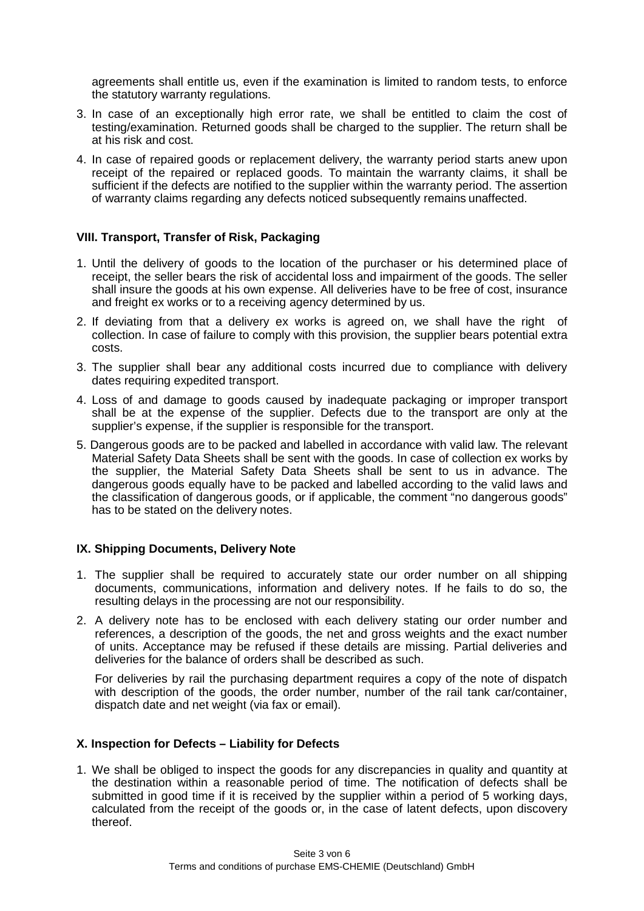agreements shall entitle us, even if the examination is limited to random tests, to enforce the statutory warranty regulations.

- 3. In case of an exceptionally high error rate, we shall be entitled to claim the cost of testing/examination. Returned goods shall be charged to the supplier. The return shall be at his risk and cost.
- 4. In case of repaired goods or replacement delivery, the warranty period starts anew upon receipt of the repaired or replaced goods. To maintain the warranty claims, it shall be sufficient if the defects are notified to the supplier within the warranty period. The assertion of warranty claims regarding any defects noticed subsequently remains unaffected.

## **VIII. Transport, Transfer of Risk, Packaging**

- 1. Until the delivery of goods to the location of the purchaser or his determined place of receipt, the seller bears the risk of accidental loss and impairment of the goods. The seller shall insure the goods at his own expense. All deliveries have to be free of cost, insurance and freight ex works or to a receiving agency determined by us.
- 2. If deviating from that a delivery ex works is agreed on, we shall have the right of collection. In case of failure to comply with this provision, the supplier bears potential extra costs.
- 3. The supplier shall bear any additional costs incurred due to compliance with delivery dates requiring expedited transport.
- 4. Loss of and damage to goods caused by inadequate packaging or improper transport shall be at the expense of the supplier. Defects due to the transport are only at the supplier's expense, if the supplier is responsible for the transport.
- 5. Dangerous goods are to be packed and labelled in accordance with valid law. The relevant Material Safety Data Sheets shall be sent with the goods. In case of collection ex works by the supplier, the Material Safety Data Sheets shall be sent to us in advance. The dangerous goods equally have to be packed and labelled according to the valid laws and the classification of dangerous goods, or if applicable, the comment "no dangerous goods" has to be stated on the delivery notes.

## **IX. Shipping Documents, Delivery Note**

- 1. The supplier shall be required to accurately state our order number on all shipping documents, communications, information and delivery notes. If he fails to do so, the resulting delays in the processing are not our responsibility.
- 2. A delivery note has to be enclosed with each delivery stating our order number and references, a description of the goods, the net and gross weights and the exact number of units. Acceptance may be refused if these details are missing. Partial deliveries and deliveries for the balance of orders shall be described as such.

For deliveries by rail the purchasing department requires a copy of the note of dispatch with description of the goods, the order number, number of the rail tank car/container, dispatch date and net weight (via fax or email).

## **X. Inspection for Defects – Liability for Defects**

1. We shall be obliged to inspect the goods for any discrepancies in quality and quantity at the destination within a reasonable period of time. The notification of defects shall be submitted in good time if it is received by the supplier within a period of 5 working days, calculated from the receipt of the goods or, in the case of latent defects, upon discovery thereof.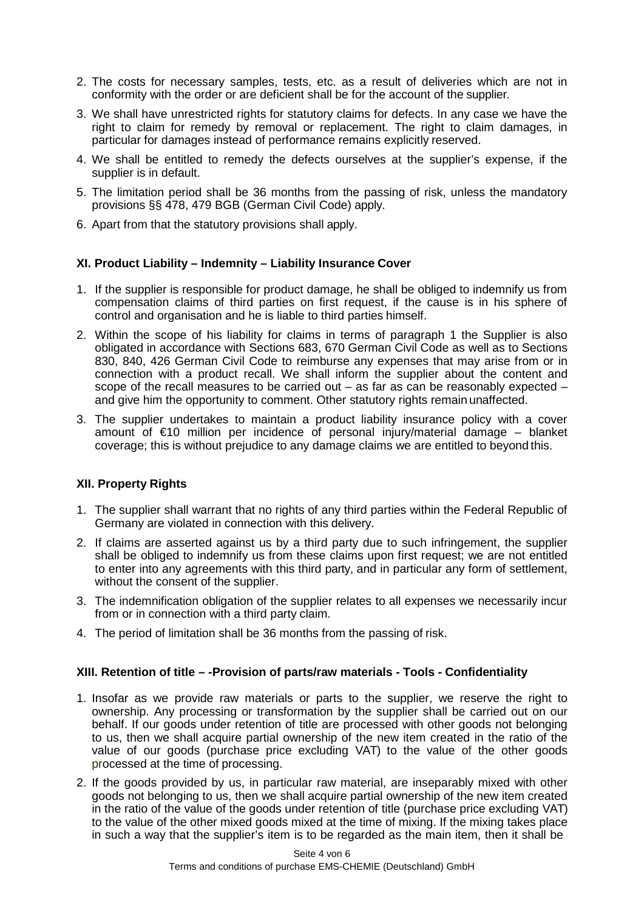- 2. The costs for necessary samples, tests, etc. as a result of deliveries which are not in conformity with the order or are deficient shall be for the account of the supplier.
- 3. We shall have unrestricted rights for statutory claims for defects. In any case we have the right to claim for remedy by removal or replacement. The right to claim damages, in particular for damages instead of performance remains explicitly reserved.
- 4. We shall be entitled to remedy the defects ourselves at the supplier's expense, if the supplier is in default.
- 5. The limitation period shall be 36 months from the passing of risk, unless the mandatory provisions §§ 478, 479 BGB (German Civil Code) apply.
- 6. Apart from that the statutory provisions shall apply.

## **XI. Product Liability – Indemnity – Liability Insurance Cover**

- 1. If the supplier is responsible for product damage, he shall be obliged to indemnify us from compensation claims of third parties on first request, if the cause is in his sphere of control and organisation and he is liable to third parties himself.
- 2. Within the scope of his liability for claims in terms of paragraph 1 the Supplier is also obligated in accordance with Sections 683, 670 German Civil Code as well as to Sections 830, 840, 426 German Civil Code to reimburse any expenses that may arise from or in connection with a product recall. We shall inform the supplier about the content and scope of the recall measures to be carried out  $-$  as far as can be reasonably expected  $$ and give him the opportunity to comment. Other statutory rights remain unaffected.
- 3. The supplier undertakes to maintain a product liability insurance policy with a cover amount of €10 million per incidence of personal injury/material damage – blanket coverage; this is without prejudice to any damage claims we are entitled to beyond this.

## **XII. Property Rights**

- 1. The supplier shall warrant that no rights of any third parties within the Federal Republic of Germany are violated in connection with this delivery.
- 2. If claims are asserted against us by a third party due to such infringement, the supplier shall be obliged to indemnify us from these claims upon first request; we are not entitled to enter into any agreements with this third party, and in particular any form of settlement, without the consent of the supplier.
- 3. The indemnification obligation of the supplier relates to all expenses we necessarily incur from or in connection with a third party claim.
- 4. The period of limitation shall be 36 months from the passing of risk.

#### **XIII. Retention of title – -Provision of parts/raw materials - Tools - Confidentiality**

- 1. Insofar as we provide raw materials or parts to the supplier, we reserve the right to ownership. Any processing or transformation by the supplier shall be carried out on our behalf. If our goods under retention of title are processed with other goods not belonging to us, then we shall acquire partial ownership of the new item created in the ratio of the value of our goods (purchase price excluding VAT) to the value of the other goods processed at the time of processing.
- 2. If the goods provided by us, in particular raw material, are inseparably mixed with other goods not belonging to us, then we shall acquire partial ownership of the new item created in the ratio of the value of the goods under retention of title (purchase price excluding VAT) to the value of the other mixed goods mixed at the time of mixing. If the mixing takes place in such a way that the supplier's item is to be regarded as the main item, then it shall be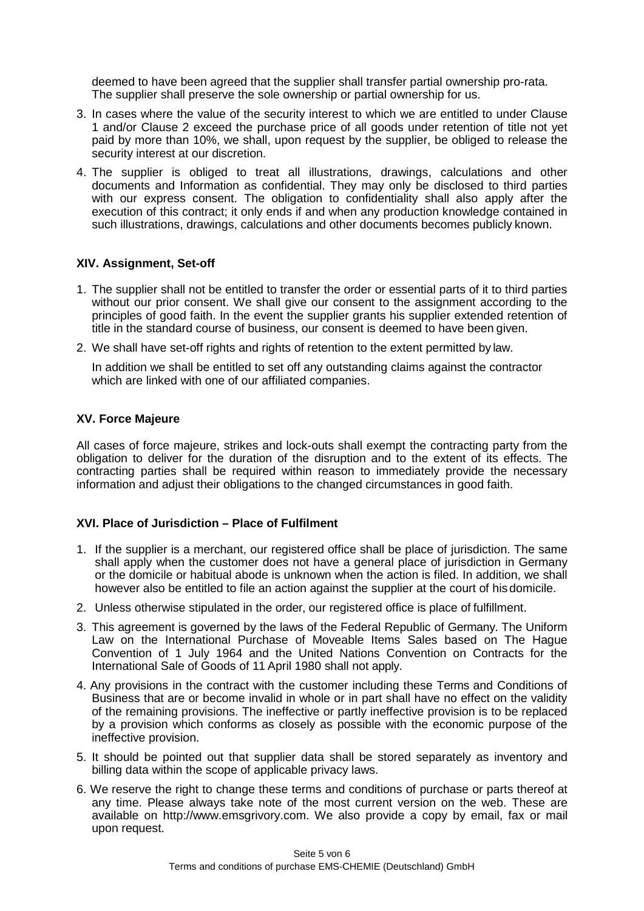deemed to have been agreed that the supplier shall transfer partial ownership pro-rata. The supplier shall preserve the sole ownership or partial ownership for us.

- 3. In cases where the value of the security interest to which we are entitled to under Clause 1 and/or Clause 2 exceed the purchase price of all goods under retention of title not yet paid by more than 10%, we shall, upon request by the supplier, be obliged to release the security interest at our discretion.
- 4. The supplier is obliged to treat all illustrations, drawings, calculations and other documents and Information as confidential. They may only be disclosed to third parties with our express consent. The obligation to confidentiality shall also apply after the execution of this contract; it only ends if and when any production knowledge contained in such illustrations, drawings, calculations and other documents becomes publicly known.

## **XIV. Assignment, Set-off**

- 1. The supplier shall not be entitled to transfer the order or essential parts of it to third parties without our prior consent. We shall give our consent to the assignment according to the principles of good faith. In the event the supplier grants his supplier extended retention of title in the standard course of business, our consent is deemed to have been given.
- 2. We shall have set-off rights and rights of retention to the extent permitted by law.

In addition we shall be entitled to set off any outstanding claims against the contractor which are linked with one of our affiliated companies.

## **XV. Force Majeure**

All cases of force majeure, strikes and lock-outs shall exempt the contracting party from the obligation to deliver for the duration of the disruption and to the extent of its effects. The contracting parties shall be required within reason to immediately provide the necessary information and adjust their obligations to the changed circumstances in good faith.

## **XVI. Place of Jurisdiction – Place of Fulfilment**

- 1. If the supplier is a merchant, our registered office shall be place of jurisdiction. The same shall apply when the customer does not have a general place of jurisdiction in Germany or the domicile or habitual abode is unknown when the action is filed. In addition, we shall however also be entitled to file an action against the supplier at the court of his domicile.
- 2. Unless otherwise stipulated in the order, our registered office is place of fulfillment.
- 3. This agreement is governed by the laws of the Federal Republic of Germany. The Uniform Law on the International Purchase of Moveable Items Sales based on The Hague Convention of 1 July 1964 and the United Nations Convention on Contracts for the International Sale of Goods of 11 April 1980 shall not apply.
- 4. Any provisions in the contract with the customer including these Terms and Conditions of Business that are or become invalid in whole or in part shall have no effect on the validity of the remaining provisions. The ineffective or partly ineffective provision is to be replaced by a provision which conforms as closely as possible with the economic purpose of the ineffective provision.
- 5. It should be pointed out that supplier data shall be stored separately as inventory and billing data within the scope of applicable privacy laws.
- 6. We reserve the right to change these terms and conditions of purchase or parts thereof at any time. Please always take note of the most current version on the web. These are available on [http://www.emsgrivory.com.](http://www.emsgrivory.com/) We also provide a copy by email, fax or mail upon request.